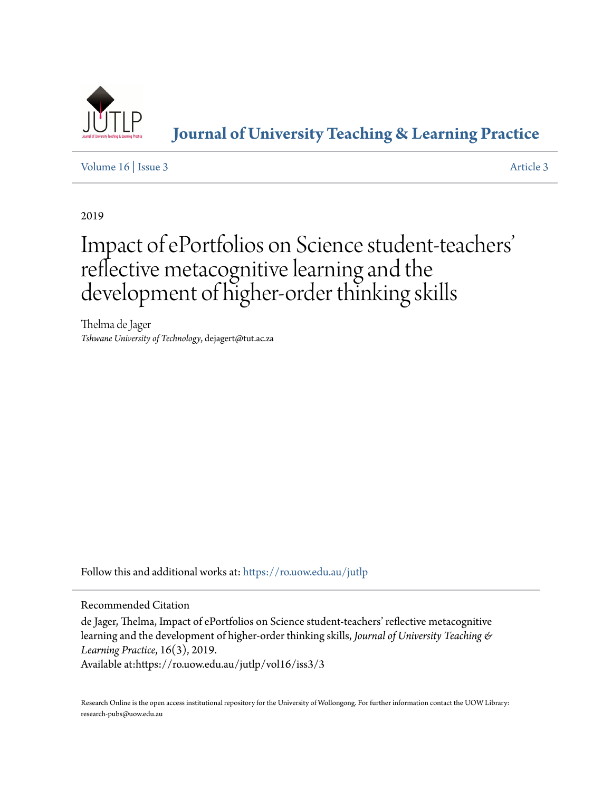

**[Journal of University Teaching & Learning Practice](https://ro.uow.edu.au/jutlp?utm_source=ro.uow.edu.au%2Fjutlp%2Fvol16%2Fiss3%2F3&utm_medium=PDF&utm_campaign=PDFCoverPages)**

[Volume 16](https://ro.uow.edu.au/jutlp/vol16?utm_source=ro.uow.edu.au%2Fjutlp%2Fvol16%2Fiss3%2F3&utm_medium=PDF&utm_campaign=PDFCoverPages) | [Issue 3](https://ro.uow.edu.au/jutlp/vol16/iss3?utm_source=ro.uow.edu.au%2Fjutlp%2Fvol16%2Fiss3%2F3&utm_medium=PDF&utm_campaign=PDFCoverPages) [Article 3](https://ro.uow.edu.au/jutlp/vol16/iss3/3?utm_source=ro.uow.edu.au%2Fjutlp%2Fvol16%2Fiss3%2F3&utm_medium=PDF&utm_campaign=PDFCoverPages)

2019

# Impact of ePortfolios on Science student-teachers ' reflective metacognitive learning and the development of higher-order thinking skills

Thelma de Jager *Tshwane University of Technology*, dejagert@tut.ac.za

Follow this and additional works at: [https://ro.uow.edu.au/jutlp](https://ro.uow.edu.au/jutlp?utm_source=ro.uow.edu.au%2Fjutlp%2Fvol16%2Fiss3%2F3&utm_medium=PDF&utm_campaign=PDFCoverPages)

Recommended Citation

de Jager, Thelma, Impact of ePortfolios on Science student-teachers' reflective metacognitive learning and the development of higher-order thinking skills, *Journal of University Teaching & Learning Practice*, 16(3), 2019.

Available at:https://ro.uow.edu.au/jutlp/vol16/iss3/3

Research Online is the open access institutional repository for the University of Wollongong. For further information contact the UOW Library: research-pubs@uow.edu.au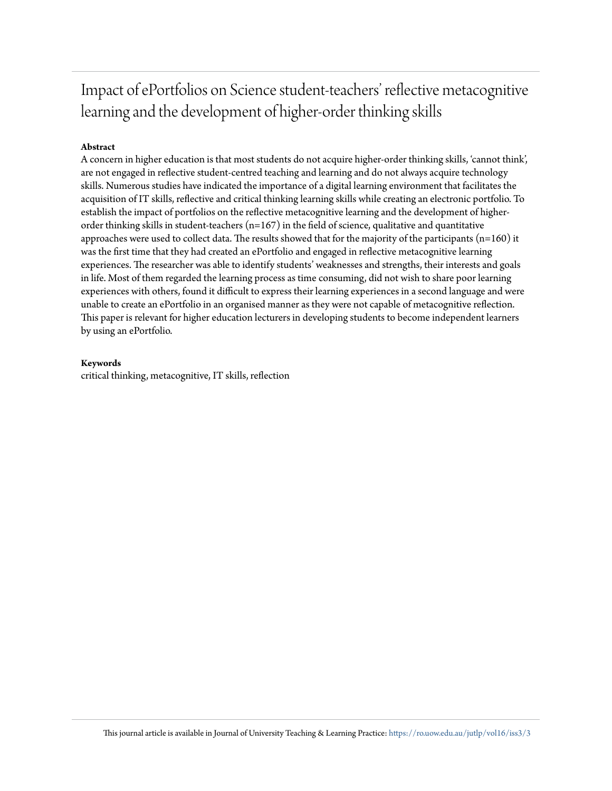# Impact of ePortfolios on Science student-teachers' reflective metacognitive learning and the development of higher-order thinking skills

# **Abstract**

A concern in higher education is that most students do not acquire higher-order thinking skills, 'cannot think', are not engaged in reflective student-centred teaching and learning and do not always acquire technology skills. Numerous studies have indicated the importance of a digital learning environment that facilitates the acquisition of IT skills, reflective and critical thinking learning skills while creating an electronic portfolio. To establish the impact of portfolios on the reflective metacognitive learning and the development of higherorder thinking skills in student-teachers (n=167) in the field of science, qualitative and quantitative approaches were used to collect data. The results showed that for the majority of the participants (n=160) it was the first time that they had created an ePortfolio and engaged in reflective metacognitive learning experiences. The researcher was able to identify students' weaknesses and strengths, their interests and goals in life. Most of them regarded the learning process as time consuming, did not wish to share poor learning experiences with others, found it difficult to express their learning experiences in a second language and were unable to create an ePortfolio in an organised manner as they were not capable of metacognitive reflection. This paper is relevant for higher education lecturers in developing students to become independent learners by using an ePortfolio.

### **Keywords**

critical thinking, metacognitive, IT skills, reflection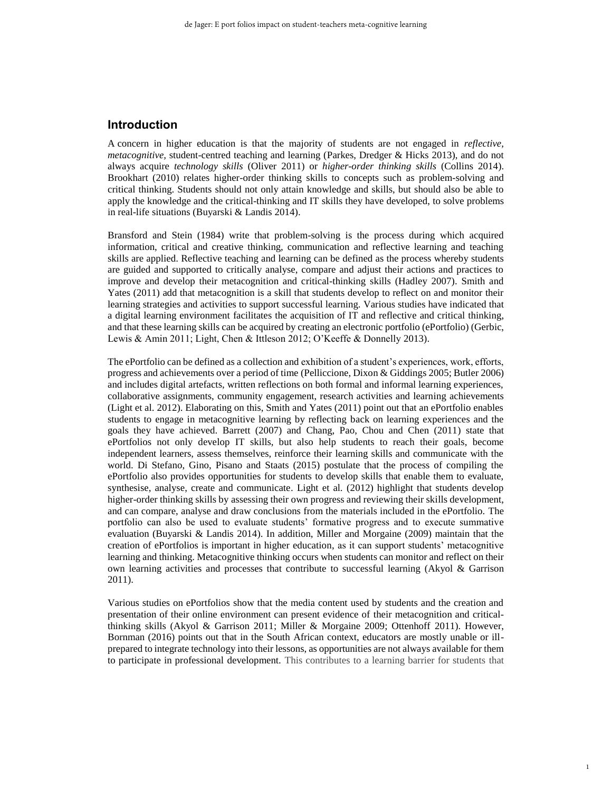## **Introduction**

concern in higher education is that the majority of students are not engaged in *reflective,*  A *metacognitive,* student-centred teaching and learning (Parkes, Dredger & Hicks 2013), and do not always acquire *technology skills* (Oliver 2011) or *higher*-*order thinking skills* (Collins 2014). Brookhart (2010) relates higher-order thinking skills to concepts such as problem-solving and critical thinking. Students should not only attain knowledge and skills, but should also be able to apply the knowledge and the critical-thinking and IT skills they have developed, to solve problems in real-life situations (Buyarski & Landis 2014).

Bransford and Stein (1984) write that problem-solving is the process during which acquired information, critical and creative thinking, communication and reflective learning and teaching skills are applied. Reflective teaching and learning can be defined as the process whereby students are guided and supported to critically analyse, compare and adjust their actions and practices to improve and develop their metacognition and critical-thinking skills (Hadley 2007). Smith and Yates (2011) add that metacognition is a skill that students develop to reflect on and monitor their learning strategies and activities to support successful learning. Various studies have indicated that a digital learning environment facilitates the acquisition of IT and reflective and critical thinking, and that these learning skills can be acquired by creating an electronic portfolio (ePortfolio) (Gerbic, Lewis & Amin 2011; Light, Chen & Ittleson 2012; O'Keeffe & Donnelly 2013).

The ePortfolio can be defined as a collection and exhibition of a student's experiences, work, efforts, progress and achievements over a period of time (Pelliccione, Dixon & Giddings 2005; Butler 2006) and includes digital artefacts, written reflections on both formal and informal learning experiences, collaborative assignments, community engagement, research activities and learning achievements (Light et al. 2012). Elaborating on this, Smith and Yates (2011) point out that an ePortfolio enables students to engage in metacognitive learning by reflecting back on learning experiences and the goals they have achieved. Barrett (2007) and Chang, Pao, Chou and Chen (2011) state that ePortfolios not only develop IT skills, but also help students to reach their goals, become independent learners, assess themselves, reinforce their learning skills and communicate with the world. Di Stefano, Gino, Pisano and Staats (2015) postulate that the process of compiling the ePortfolio also provides opportunities for students to develop skills that enable them to evaluate, synthesise, analyse, create and communicate. Light et al*.* (2012) highlight that students develop higher-order thinking skills by assessing their own progress and reviewing their skills development, and can compare, analyse and draw conclusions from the materials included in the ePortfolio. The portfolio can also be used to evaluate students' formative progress and to execute summative evaluation (Buyarski & Landis 2014). In addition, Miller and Morgaine (2009) maintain that the creation of ePortfolios is important in higher education, as it can support students' metacognitive learning and thinking. Metacognitive thinking occurs when students can monitor and reflect on their own learning activities and processes that contribute to successful learning (Akyol  $\&$  Garrison 2011).

Various studies on ePortfolios show that the media content used by students and the creation and presentation of their online environment can present evidence of their metacognition and criticalthinking skills (Akyol & Garrison 2011; Miller & Morgaine 2009; Ottenhoff 2011). However, Bornman (2016) points out that in the South African context, educators are mostly unable or illprepared to integrate technology into their lessons, as opportunities are not always available for them to participate in professional development. This contributes to a learning barrier for students that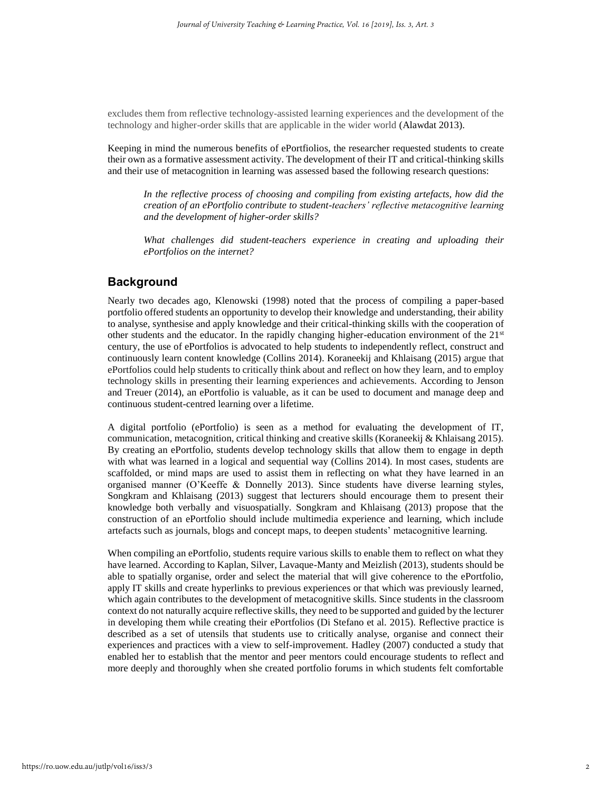excludes them from reflective technology-assisted learning experiences and the development of the technology and higher-order skills that are applicable in the wider world (Alawdat 2013).

Keeping in mind the numerous benefits of ePortfiolios, the researcher requested students to create their own as a formative assessment activity. The development of their IT and critical-thinking skills and their use of metacognition in learning was assessed based the following research questions:

*In the reflective process of choosing and compiling from existing artefacts, how did the creation of an ePortfolio contribute to student-teachers' reflective metacognitive learning and the development of higher-order skills?*

*What challenges did student-teachers experience in creating and uploading their ePortfolios on the internet?* 

# **Background**

Nearly two decades ago, Klenowski (1998) noted that the process of compiling a paper-based portfolio offered students an opportunity to develop their knowledge and understanding, their ability to analyse, synthesise and apply knowledge and their critical-thinking skills with the cooperation of other students and the educator. In the rapidly changing higher-education environment of the 21st century, the use of ePortfolios is advocated to help students to independently reflect, construct and continuously learn content knowledge (Collins 2014). Koraneekij and Khlaisang (2015) argue that ePortfolios could help students to critically think about and reflect on how they learn, and to employ technology skills in presenting their learning experiences and achievements. According to Jenson and Treuer (2014), an ePortfolio is valuable, as it can be used to document and manage deep and continuous student-centred learning over a lifetime.

A digital portfolio (ePortfolio) is seen as a method for evaluating the development of IT, communication, metacognition, critical thinking and creative skills (Koraneekij & Khlaisang 2015). By creating an ePortfolio, students develop technology skills that allow them to engage in depth with what was learned in a logical and sequential way (Collins 2014). In most cases, students are scaffolded, or mind maps are used to assist them in reflecting on what they have learned in an organised manner (O'Keeffe & Donnelly 2013). Since students have diverse learning styles, Songkram and Khlaisang (2013) suggest that lecturers should encourage them to present their knowledge both verbally and visuospatially. Songkram and Khlaisang (2013) propose that the construction of an ePortfolio should include multimedia experience and learning, which include artefacts such as journals, blogs and concept maps, to deepen students' metacognitive learning.

When compiling an ePortfolio, students require various skills to enable them to reflect on what they have learned. According to Kaplan, Silver, Lavaque-Manty and Meizlish (2013), students should be able to spatially organise, order and select the material that will give coherence to the ePortfolio, apply IT skills and create hyperlinks to previous experiences or that which was previously learned, which again contributes to the development of metacognitive skills. Since students in the classroom context do not naturally acquire reflective skills, they need to be supported and guided by the lecturer in developing them while creating their ePortfolios (Di Stefano et al. 2015). Reflective practice is described as a set of utensils that students use to critically analyse, organise and connect their experiences and practices with a view to self-improvement. Hadley (2007) conducted a study that enabled her to establish that the mentor and peer mentors could encourage students to reflect and more deeply and thoroughly when she created portfolio forums in which students felt comfortable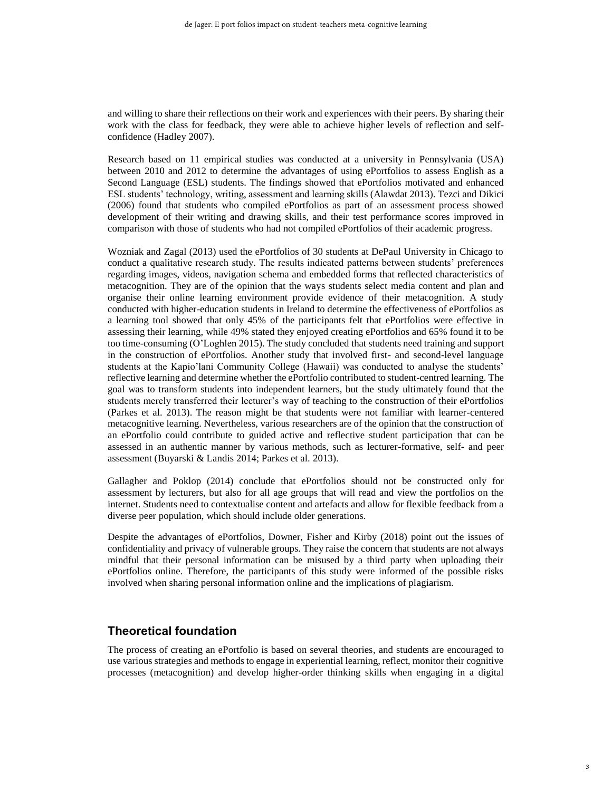and willing to share their reflections on their work and experiences with their peers. By sharing their work with the class for feedback, they were able to achieve higher levels of reflection and selfconfidence (Hadley 2007).

Research based on 11 empirical studies was conducted at a university in Pennsylvania (USA) between 2010 and 2012 to determine the advantages of using ePortfolios to assess English as a Second Language (ESL) students. The findings showed that ePortfolios motivated and enhanced ESL students' technology, writing, assessment and learning skills (Alawdat 2013). Tezci and Dikici (2006) found that students who compiled ePortfolios as part of an assessment process showed development of their writing and drawing skills, and their test performance scores improved in comparison with those of students who had not compiled ePortfolios of their academic progress.

Wozniak and Zagal (2013) used the ePortfolios of 30 students at DePaul University in Chicago to conduct a qualitative research study. The results indicated patterns between students' preferences regarding images, videos, navigation schema and embedded forms that reflected characteristics of metacognition. They are of the opinion that the ways students select media content and plan and organise their online learning environment provide evidence of their metacognition. A study conducted with higher-education students in Ireland to determine the effectiveness of ePortfolios as a learning tool showed that only 45% of the participants felt that ePortfolios were effective in assessing their learning, while 49% stated they enjoyed creating ePortfolios and 65% found it to be too time-consuming (O'Loghlen 2015). The study concluded that students need training and support in the construction of ePortfolios. Another study that involved first- and second-level language students at the Kapio'lani Community College (Hawaii) was conducted to analyse the students' reflective learning and determine whether the ePortfolio contributed to student-centred learning. The goal was to transform students into independent learners, but the study ultimately found that the students merely transferred their lecturer's way of teaching to the construction of their ePortfolios (Parkes et al. 2013). The reason might be that students were not familiar with learner-centered metacognitive learning. Nevertheless, various researchers are of the opinion that the construction of an ePortfolio could contribute to guided active and reflective student participation that can be assessed in an authentic manner by various methods, such as lecturer-formative, self- and peer assessment (Buyarski & Landis 2014; Parkes et al. 2013).

Gallagher and Poklop (2014) conclude that ePortfolios should not be constructed only for assessment by lecturers, but also for all age groups that will read and view the portfolios on the internet. Students need to contextualise content and artefacts and allow for flexible feedback from a diverse peer population, which should include older generations.

Despite the advantages of ePortfolios, Downer, Fisher and Kirby (2018) point out the issues of confidentiality and privacy of vulnerable groups. They raise the concern that students are not always mindful that their personal information can be misused by a third party when uploading their ePortfolios online. Therefore, the participants of this study were informed of the possible risks involved when sharing personal information online and the implications of plagiarism.

# **Theoretical foundation**

The process of creating an ePortfolio is based on several theories, and students are encouraged to use various strategies and methods to engage in experiential learning, reflect, monitor their cognitive processes (metacognition) and develop higher-order thinking skills when engaging in a digital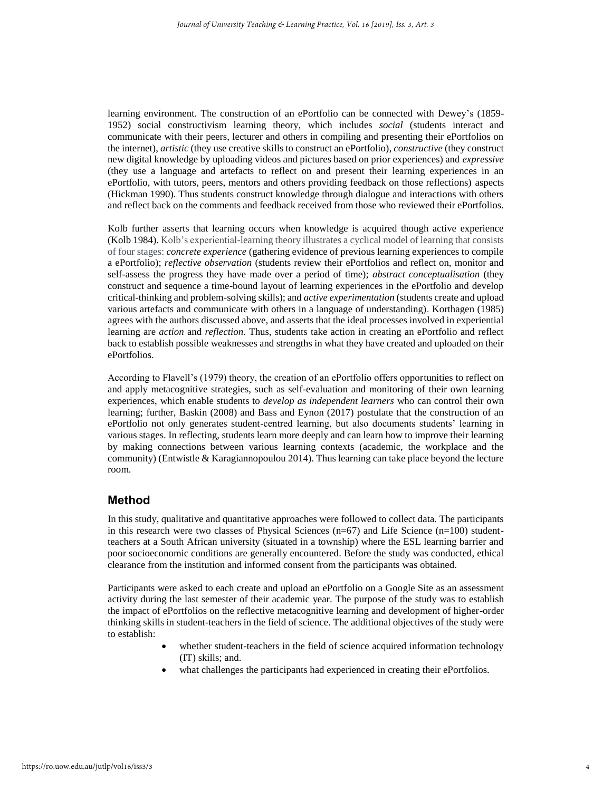learning environment. The construction of an ePortfolio can be connected with Dewey's (1859- 1952) social constructivism learning theory, which includes *social* (students interact and communicate with their peers, lecturer and others in compiling and presenting their ePortfolios on the internet), *artistic* (they use creative skills to construct an ePortfolio), *constructive* (they construct new digital knowledge by uploading videos and pictures based on prior experiences) and *expressive*  (they use a language and artefacts to reflect on and present their learning experiences in an ePortfolio, with tutors, peers, mentors and others providing feedback on those reflections) aspects (Hickman 1990). Thus students construct knowledge through dialogue and interactions with others and reflect back on the comments and feedback received from those who reviewed their ePortfolios.

Kolb further asserts that learning occurs when knowledge is acquired though active experience (Kolb 1984). Kolb's experiential-learning theory illustrates a cyclical model of learning that consists of four stages: *concrete experience* (gathering evidence of previous learning experiences to compile a ePortfolio); *reflective observation* (students review their ePortfolios and reflect on, monitor and self-assess the progress they have made over a period of time); *abstract conceptualisation* (they construct and sequence a time-bound layout of learning experiences in the ePortfolio and develop critical-thinking and problem-solving skills); and *active experimentation* (students create and upload various artefacts and communicate with others in a language of understanding). Korthagen (1985) agrees with the authors discussed above, and asserts that the ideal processes involved in experiential learning are *action* and *reflection*. Thus, students take action in creating an ePortfolio and reflect back to establish possible weaknesses and strengths in what they have created and uploaded on their ePortfolios.

According to Flavell's (1979) theory, the creation of an ePortfolio offers opportunities to reflect on and apply metacognitive strategies, such as self-evaluation and monitoring of their own learning experiences, which enable students to *develop as independent learners* who can control their own learning; further, Baskin (2008) and Bass and Eynon (2017) postulate that the construction of an ePortfolio not only generates student-centred learning, but also documents students' learning in various stages. In reflecting, students learn more deeply and can learn how to improve their learning by making connections between various learning contexts (academic, the workplace and the community) (Entwistle & Karagiannopoulou 2014). Thus learning can take place beyond the lecture room.

# **Method**

In this study, qualitative and quantitative approaches were followed to collect data. The participants in this research were two classes of Physical Sciences ( $n=67$ ) and Life Science ( $n=100$ ) studentteachers at a South African university (situated in a township) where the ESL learning barrier and poor socioeconomic conditions are generally encountered. Before the study was conducted, ethical clearance from the institution and informed consent from the participants was obtained.

Participants were asked to each create and upload an ePortfolio on a Google Site as an assessment activity during the last semester of their academic year. The purpose of the study was to establish the impact of ePortfolios on the reflective metacognitive learning and development of higher-order thinking skills in student-teachers in the field of science. The additional objectives of the study were to establish:

- whether student-teachers in the field of science acquired information technology (IT) skills; and.
- what challenges the participants had experienced in creating their ePortfolios.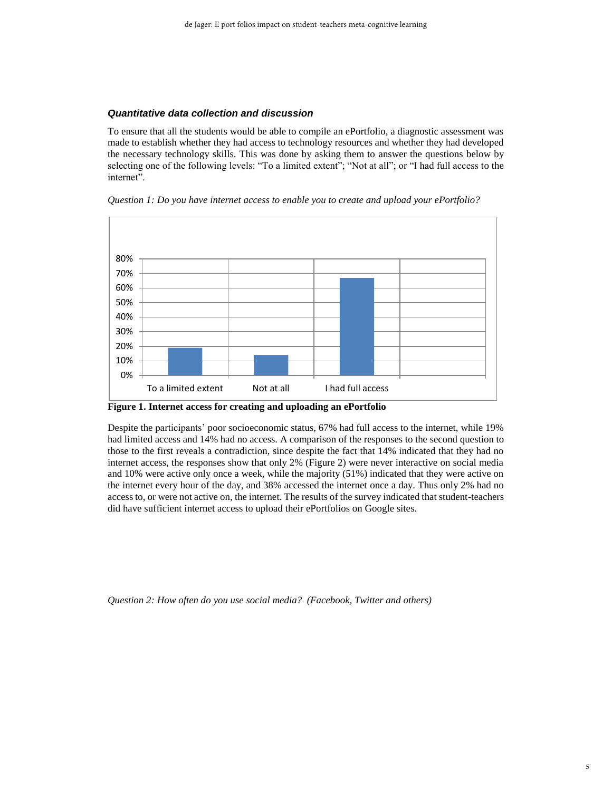#### *Quantitative data collection and discussion*

To ensure that all the students would be able to compile an ePortfolio, a diagnostic assessment was made to establish whether they had access to technology resources and whether they had developed the necessary technology skills. This was done by asking them to answer the questions below by selecting one of the following levels: "To a limited extent"; "Not at all"; or "I had full access to the internet".

*Question 1: Do you have internet access to enable you to create and upload your ePortfolio?*



**Figure 1. Internet access for creating and uploading an ePortfolio**

Despite the participants' poor socioeconomic status, 67% had full access to the internet, while 19% had limited access and 14% had no access. A comparison of the responses to the second question to those to the first reveals a contradiction, since despite the fact that 14% indicated that they had no internet access, the responses show that only 2% (Figure 2) were never interactive on social media and 10% were active only once a week, while the majority (51%) indicated that they were active on the internet every hour of the day, and 38% accessed the internet once a day. Thus only 2% had no access to, or were not active on, the internet. The results of the survey indicated that student-teachers did have sufficient internet access to upload their ePortfolios on Google sites.

*Question 2: How often do you use social media? (Facebook, Twitter and others)*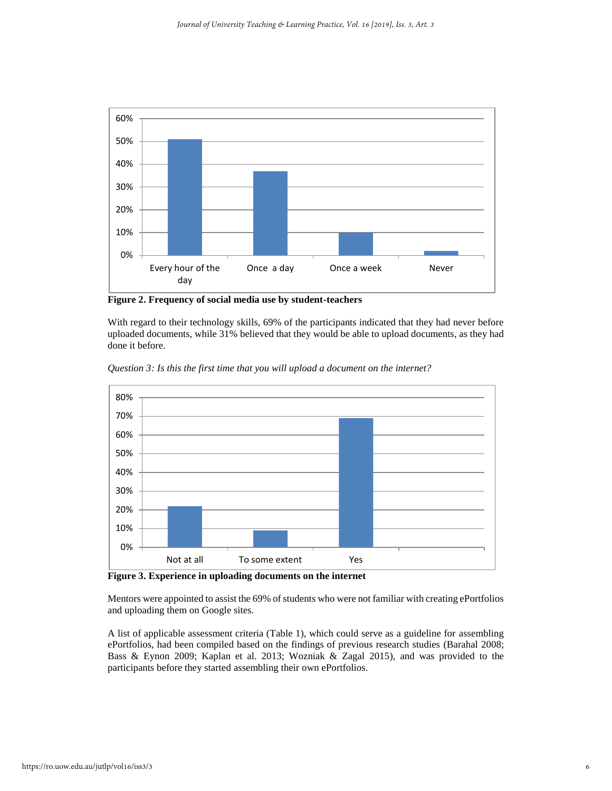

**Figure 2. Frequency of social media use by student-teachers**

With regard to their technology skills, 69% of the participants indicated that they had never before uploaded documents, while 31% believed that they would be able to upload documents, as they had done it before.



*Question 3: Is this the first time that you will upload a document on the internet?*

**Figure 3. Experience in uploading documents on the internet**

Mentors were appointed to assist the 69% of students who were not familiar with creating ePortfolios and uploading them on Google sites.

A list of applicable assessment criteria (Table 1), which could serve as a guideline for assembling ePortfolios, had been compiled based on the findings of previous research studies (Barahal 2008; Bass & Eynon 2009; Kaplan et al. 2013; Wozniak & Zagal 2015), and was provided to the participants before they started assembling their own ePortfolios.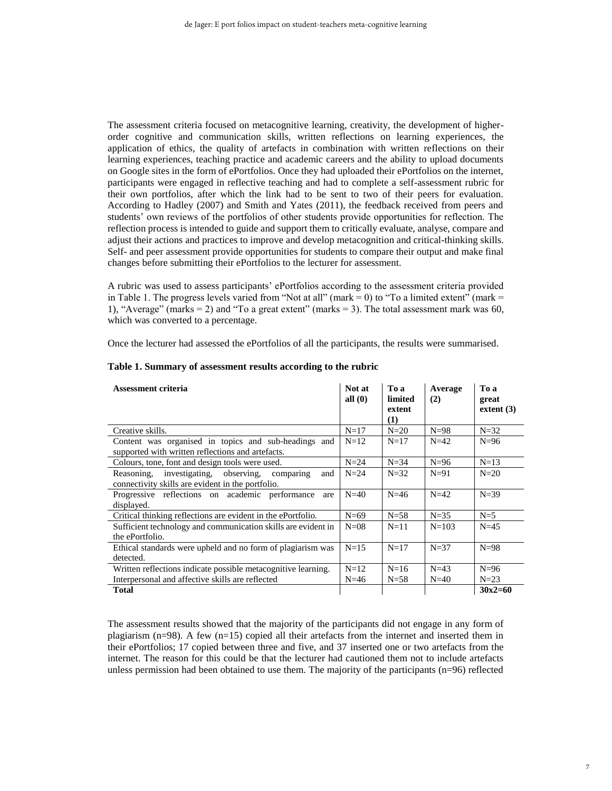The assessment criteria focused on metacognitive learning, creativity, the development of higherorder cognitive and communication skills, written reflections on learning experiences, the application of ethics, the quality of artefacts in combination with written reflections on their learning experiences, teaching practice and academic careers and the ability to upload documents on Google sites in the form of ePortfolios. Once they had uploaded their ePortfolios on the internet, participants were engaged in reflective teaching and had to complete a self-assessment rubric for their own portfolios, after which the link had to be sent to two of their peers for evaluation. According to Hadley (2007) and Smith and Yates (2011), the feedback received from peers and students' own reviews of the portfolios of other students provide opportunities for reflection. The reflection process is intended to guide and support them to critically evaluate, analyse, compare and adjust their actions and practices to improve and develop metacognition and critical-thinking skills. Self- and peer assessment provide opportunities for students to compare their output and make final changes before submitting their ePortfolios to the lecturer for assessment.

A rubric was used to assess participants' ePortfolios according to the assessment criteria provided in Table 1. The progress levels varied from "Not at all" (mark  $= 0$ ) to "To a limited extent" (mark  $=$ 1), "Average" (marks  $= 2$ ) and "To a great extent" (marks  $= 3$ ). The total assessment mark was 60, which was converted to a percentage.

Once the lecturer had assessed the ePortfolios of all the participants, the results were summarised.

| Assessment criteria                                                                                              | Not at<br>all $(0)$ | To a<br>limited<br>extent<br>(1) | Average<br>(2) | To a<br>great<br>extent $(3)$ |
|------------------------------------------------------------------------------------------------------------------|---------------------|----------------------------------|----------------|-------------------------------|
| Creative skills.                                                                                                 | $N=17$              | $N=20$                           | $N=98$         | $N=32$                        |
| Content was organised in topics and sub-headings and<br>supported with written reflections and artefacts.        | $N=12$              | $N=17$                           | $N=42$         | $N=96$                        |
| Colours, tone, font and design tools were used.                                                                  | $N=24$              | $N=34$                           | $N=96$         | $N=13$                        |
| investigating, observing,<br>Reasoning.<br>and<br>comparing<br>connectivity skills are evident in the portfolio. | $N=24$              | $N=32$                           | $N=91$         | $N=20$                        |
| Progressive reflections on academic performance<br>are<br>displayed.                                             | $N=40$              | $N=46$                           | $N=42$         | $N=39$                        |
| Critical thinking reflections are evident in the ePortfolio.                                                     | $N=69$              | $N = 58$                         | $N=35$         | $N=5$                         |
| Sufficient technology and communication skills are evident in<br>the ePortfolio.                                 | $N=08$              | $N=11$                           | $N = 103$      | $N=45$                        |
| Ethical standards were upheld and no form of plagiarism was<br>detected.                                         | $N=15$              | $N=17$                           | $N=37$         | $N=98$                        |
| Written reflections indicate possible metacognitive learning.                                                    | $N=12$              | $N=16$                           | $N=43$         | $N=96$                        |
| Interpersonal and affective skills are reflected                                                                 | $N = 46$            | $N = 58$                         | $N=40$         | $N=23$                        |
| <b>Total</b>                                                                                                     |                     |                                  |                | $30x2=60$                     |

#### **Table 1. Summary of assessment results according to the rubric**

The assessment results showed that the majority of the participants did not engage in any form of plagiarism  $(n=98)$ . A few  $(n=15)$  copied all their artefacts from the internet and inserted them in their ePortfolios; 17 copied between three and five, and 37 inserted one or two artefacts from the internet. The reason for this could be that the lecturer had cautioned them not to include artefacts unless permission had been obtained to use them. The majority of the participants (n=96) reflected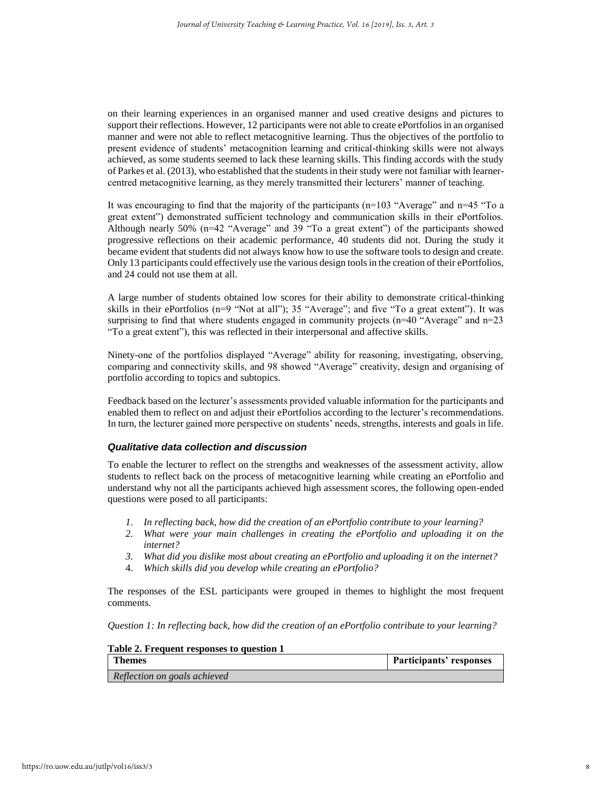on their learning experiences in an organised manner and used creative designs and pictures to support their reflections. However, 12 participants were not able to create ePortfolios in an organised manner and were not able to reflect metacognitive learning. Thus the objectives of the portfolio to present evidence of students' metacognition learning and critical-thinking skills were not always achieved, as some students seemed to lack these learning skills. This finding accords with the study of Parkes et al. (2013), who established that the students in their study were not familiar with learnercentred metacognitive learning, as they merely transmitted their lecturers' manner of teaching.

It was encouraging to find that the majority of the participants ( $n=103$  "Average" and  $n=45$  "To a great extent") demonstrated sufficient technology and communication skills in their ePortfolios. Although nearly  $50\%$  (n=42 "Average" and 39 "To a great extent") of the participants showed progressive reflections on their academic performance, 40 students did not. During the study it became evident that students did not always know how to use the software tools to design and create. Only 13 participants could effectively use the various design tools in the creation of their ePortfolios, and 24 could not use them at all.

A large number of students obtained low scores for their ability to demonstrate critical-thinking skills in their ePortfolios (n=9 "Not at all"); 35 "Average"; and five "To a great extent"). It was surprising to find that where students engaged in community projects (n=40 "Average" and n=23 "To a great extent"), this was reflected in their interpersonal and affective skills.

Ninety-one of the portfolios displayed "Average" ability for reasoning, investigating, observing, comparing and connectivity skills, and 98 showed "Average" creativity, design and organising of portfolio according to topics and subtopics.

Feedback based on the lecturer's assessments provided valuable information for the participants and enabled them to reflect on and adjust their ePortfolios according to the lecturer's recommendations. In turn, the lecturer gained more perspective on students' needs, strengths, interests and goals in life.

#### *Qualitative data collection and discussion*

To enable the lecturer to reflect on the strengths and weaknesses of the assessment activity, allow students to reflect back on the process of metacognitive learning while creating an ePortfolio and understand why not all the participants achieved high assessment scores, the following open-ended questions were posed to all participants:

- *1. In reflecting back, how did the creation of an ePortfolio contribute to your learning?*
- *2. What were your main challenges in creating the ePortfolio and uploading it on the internet?*
- *3. What did you dislike most about creating an ePortfolio and uploading it on the internet?*
- 4. *Which skills did you develop while creating an ePortfolio?*

The responses of the ESL participants were grouped in themes to highlight the most frequent comments.

*Question 1: In reflecting back, how did the creation of an ePortfolio contribute to your learning?*

| Table 2. Frequent responses to question 1 |                         |
|-------------------------------------------|-------------------------|
| <b>Themes</b>                             | Participants' responses |
| Reflection on goals achieved              |                         |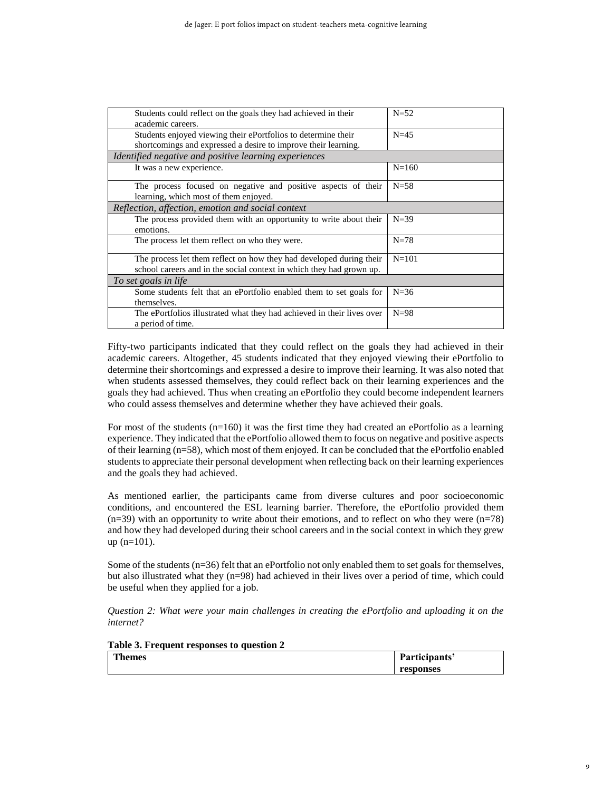| $N = 52$                                              |  |  |
|-------------------------------------------------------|--|--|
|                                                       |  |  |
| $N=45$                                                |  |  |
|                                                       |  |  |
| Identified negative and positive learning experiences |  |  |
| $N = 160$                                             |  |  |
| $N = 58$                                              |  |  |
|                                                       |  |  |
|                                                       |  |  |
| $N=39$                                                |  |  |
|                                                       |  |  |
| $N=78$                                                |  |  |
| $N = 101$                                             |  |  |
|                                                       |  |  |
|                                                       |  |  |
| $N = 36$                                              |  |  |
|                                                       |  |  |
| $N=98$                                                |  |  |
|                                                       |  |  |
|                                                       |  |  |

Fifty-two participants indicated that they could reflect on the goals they had achieved in their academic careers. Altogether, 45 students indicated that they enjoyed viewing their ePortfolio to determine their shortcomings and expressed a desire to improve their learning. It was also noted that when students assessed themselves, they could reflect back on their learning experiences and the goals they had achieved. Thus when creating an ePortfolio they could become independent learners who could assess themselves and determine whether they have achieved their goals.

For most of the students  $(n=160)$  it was the first time they had created an ePortfolio as a learning experience. They indicated that the ePortfolio allowed them to focus on negative and positive aspects of their learning (n=58), which most of them enjoyed. It can be concluded that the ePortfolio enabled students to appreciate their personal development when reflecting back on their learning experiences and the goals they had achieved.

As mentioned earlier, the participants came from diverse cultures and poor socioeconomic conditions, and encountered the ESL learning barrier. Therefore, the ePortfolio provided them  $(n=39)$  with an opportunity to write about their emotions, and to reflect on who they were  $(n=78)$ and how they had developed during their school careers and in the social context in which they grew up (n=101).

Some of the students (n=36) felt that an ePortfolio not only enabled them to set goals for themselves, but also illustrated what they (n=98) had achieved in their lives over a period of time, which could be useful when they applied for a job.

*Question 2: What were your main challenges in creating the ePortfolio and uploading it on the internet?*

| Table 3. Frequent responses to question 2 |               |
|-------------------------------------------|---------------|
| <b>Themes</b>                             | Participants' |
|                                           | responses     |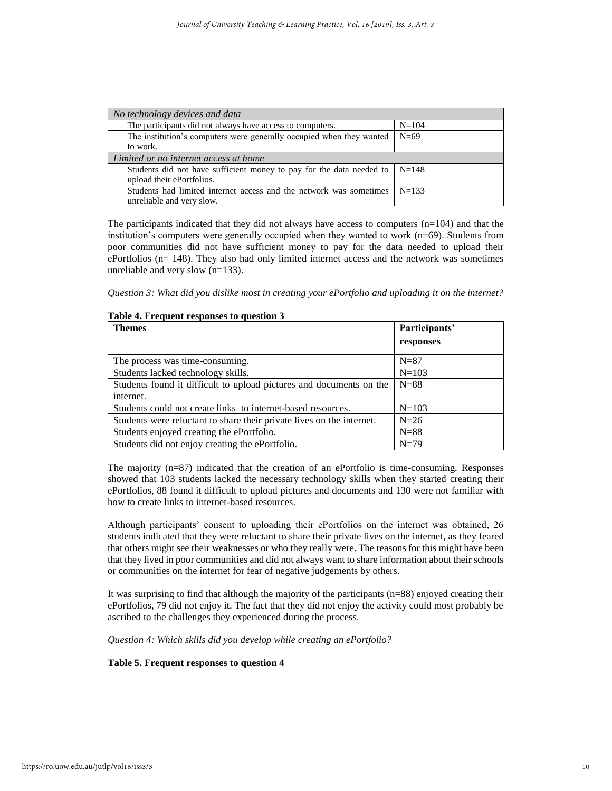| No technology devices and data                                       |           |  |
|----------------------------------------------------------------------|-----------|--|
| The participants did not always have access to computers.            | $N = 104$ |  |
| The institution's computers were generally occupied when they wanted | $N=69$    |  |
| to work.                                                             |           |  |
| Limited or no internet access at home                                |           |  |
| Students did not have sufficient money to pay for the data needed to | $N = 148$ |  |
| upload their ePortfolios.                                            |           |  |
| Students had limited internet access and the network was sometimes   | $N=133$   |  |
| unreliable and very slow.                                            |           |  |

The participants indicated that they did not always have access to computers  $(n=104)$  and that the institution's computers were generally occupied when they wanted to work (n=69). Students from poor communities did not have sufficient money to pay for the data needed to upload their ePortfolios (n= 148). They also had only limited internet access and the network was sometimes unreliable and very slow (n=133).

*Question 3: What did you dislike most in creating your ePortfolio and uploading it on the internet?*

| <b>Themes</b>                                                         | Participants' |
|-----------------------------------------------------------------------|---------------|
|                                                                       | responses     |
| The process was time-consuming.                                       | $N=87$        |
| Students lacked technology skills.                                    | $N = 103$     |
| Students found it difficult to upload pictures and documents on the   | $N=88$        |
| internet.                                                             |               |
| Students could not create links to internet-based resources.          | $N = 103$     |
| Students were reluctant to share their private lives on the internet. | $N=26$        |
| Students enjoyed creating the ePortfolio.                             | $N = 88$      |
| Students did not enjoy creating the ePortfolio.                       | $N=79$        |

#### **Table 4. Frequent responses to question 3**

The majority  $(n=87)$  indicated that the creation of an ePortfolio is time-consuming. Responses showed that 103 students lacked the necessary technology skills when they started creating their ePortfolios, 88 found it difficult to upload pictures and documents and 130 were not familiar with how to create links to internet-based resources.

Although participants' consent to uploading their ePortfolios on the internet was obtained, 26 students indicated that they were reluctant to share their private lives on the internet, as they feared that others might see their weaknesses or who they really were. The reasons for this might have been that they lived in poor communities and did not always want to share information about their schools or communities on the internet for fear of negative judgements by others.

It was surprising to find that although the majority of the participants (n=88) enjoyed creating their ePortfolios, 79 did not enjoy it. The fact that they did not enjoy the activity could most probably be ascribed to the challenges they experienced during the process.

*Question 4: Which skills did you develop while creating an ePortfolio?*

### **Table 5. Frequent responses to question 4**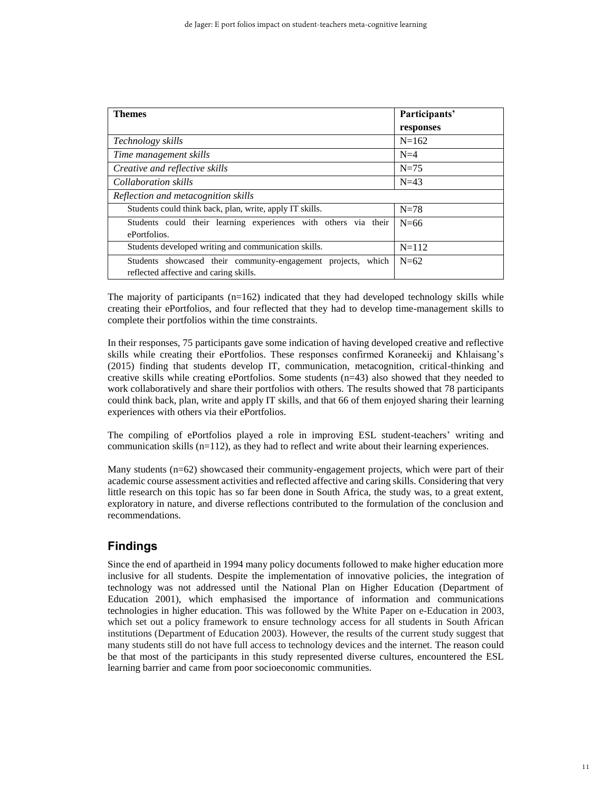| <b>Themes</b>                                                                                              | Participants' |
|------------------------------------------------------------------------------------------------------------|---------------|
|                                                                                                            | responses     |
| Technology skills                                                                                          | $N=162$       |
| Time management skills                                                                                     | $N=4$         |
| Creative and reflective skills                                                                             | $N=75$        |
| Collaboration skills                                                                                       | $N=43$        |
| Reflection and metacognition skills                                                                        |               |
| Students could think back, plan, write, apply IT skills.                                                   | $N=78$        |
| Students could their learning experiences with others via their                                            | $N=66$        |
| ePortfolios.                                                                                               |               |
| Students developed writing and communication skills.                                                       | $N = 112$     |
| Students showcased their community-engagement projects,<br>which<br>reflected affective and caring skills. | $N=62$        |

The majority of participants  $(n=162)$  indicated that they had developed technology skills while creating their ePortfolios, and four reflected that they had to develop time-management skills to complete their portfolios within the time constraints.

In their responses, 75 participants gave some indication of having developed creative and reflective skills while creating their ePortfolios. These responses confirmed Koraneekij and Khlaisang's (2015) finding that students develop IT, communication, metacognition, critical-thinking and creative skills while creating ePortfolios. Some students  $(n=43)$  also showed that they needed to work collaboratively and share their portfolios with others. The results showed that 78 participants could think back, plan, write and apply IT skills, and that 66 of them enjoyed sharing their learning experiences with others via their ePortfolios.

The compiling of ePortfolios played a role in improving ESL student-teachers' writing and communication skills (n=112), as they had to reflect and write about their learning experiences.

Many students (n=62) showcased their community-engagement projects, which were part of their academic course assessment activities and reflected affective and caring skills. Considering that very little research on this topic has so far been done in South Africa, the study was, to a great extent, exploratory in nature, and diverse reflections contributed to the formulation of the conclusion and recommendations.

# **Findings**

Since the end of apartheid in 1994 many policy documents followed to make higher education more inclusive for all students. Despite the implementation of innovative policies, the integration of technology was not addressed until the National Plan on Higher Education (Department of Education 2001), which emphasised the importance of information and communications technologies in higher education. This was followed by the White Paper on e-Education in 2003, which set out a policy framework to ensure technology access for all students in South African institutions (Department of Education 2003). However, the results of the current study suggest that many students still do not have full access to technology devices and the internet. The reason could be that most of the participants in this study represented diverse cultures, encountered the ESL learning barrier and came from poor socioeconomic communities.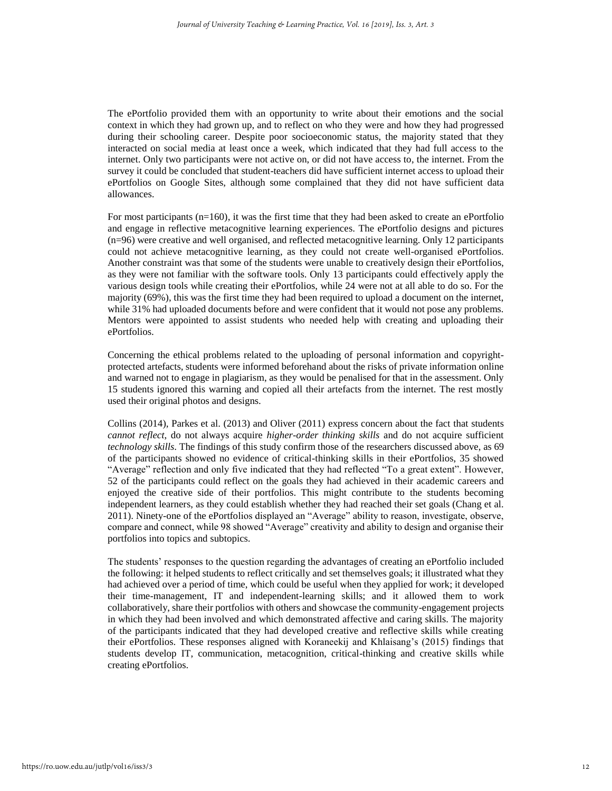The ePortfolio provided them with an opportunity to write about their emotions and the social context in which they had grown up, and to reflect on who they were and how they had progressed during their schooling career. Despite poor socioeconomic status, the majority stated that they interacted on social media at least once a week, which indicated that they had full access to the internet. Only two participants were not active on, or did not have access to, the internet. From the survey it could be concluded that student-teachers did have sufficient internet access to upload their ePortfolios on Google Sites, although some complained that they did not have sufficient data allowances.

For most participants (n=160), it was the first time that they had been asked to create an ePortfolio and engage in reflective metacognitive learning experiences. The ePortfolio designs and pictures (n=96) were creative and well organised, and reflected metacognitive learning. Only 12 participants could not achieve metacognitive learning, as they could not create well-organised ePortfolios. Another constraint was that some of the students were unable to creatively design their ePortfolios, as they were not familiar with the software tools. Only 13 participants could effectively apply the various design tools while creating their ePortfolios, while 24 were not at all able to do so. For the majority (69%), this was the first time they had been required to upload a document on the internet, while 31% had uploaded documents before and were confident that it would not pose any problems. Mentors were appointed to assist students who needed help with creating and uploading their ePortfolios.

Concerning the ethical problems related to the uploading of personal information and copyrightprotected artefacts, students were informed beforehand about the risks of private information online and warned not to engage in plagiarism, as they would be penalised for that in the assessment. Only 15 students ignored this warning and copied all their artefacts from the internet. The rest mostly used their original photos and designs.

Collins (2014), Parkes et al. (2013) and Oliver (2011) express concern about the fact that students *cannot reflect*, do not always acquire *higher-order thinking skills* and do not acquire sufficient *technology skills*. The findings of this study confirm those of the researchers discussed above, as 69 of the participants showed no evidence of critical-thinking skills in their ePortfolios, 35 showed "Average" reflection and only five indicated that they had reflected "To a great extent". However, 52 of the participants could reflect on the goals they had achieved in their academic careers and enjoyed the creative side of their portfolios. This might contribute to the students becoming independent learners, as they could establish whether they had reached their set goals (Chang et al. 2011). Ninety-one of the ePortfolios displayed an "Average" ability to reason, investigate, observe, compare and connect, while 98 showed "Average" creativity and ability to design and organise their portfolios into topics and subtopics.

The students' responses to the question regarding the advantages of creating an ePortfolio included the following: it helped students to reflect critically and set themselves goals; it illustrated what they had achieved over a period of time, which could be useful when they applied for work; it developed their time-management, IT and independent-learning skills; and it allowed them to work collaboratively, share their portfolios with others and showcase the community-engagement projects in which they had been involved and which demonstrated affective and caring skills. The majority of the participants indicated that they had developed creative and reflective skills while creating their ePortfolios. These responses aligned with Koraneekij and Khlaisang's (2015) findings that students develop IT, communication, metacognition, critical-thinking and creative skills while creating ePortfolios.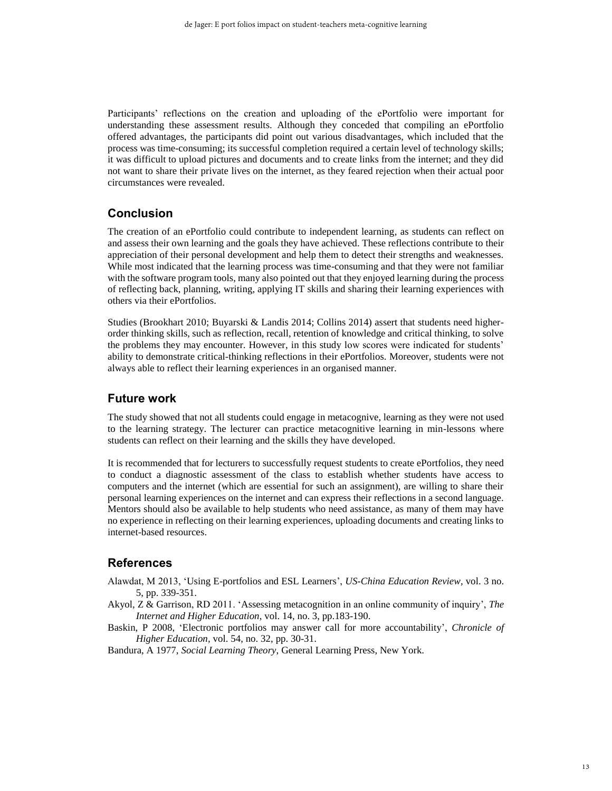Participants' reflections on the creation and uploading of the ePortfolio were important for understanding these assessment results. Although they conceded that compiling an ePortfolio offered advantages, the participants did point out various disadvantages, which included that the process was time-consuming; its successful completion required a certain level of technology skills; it was difficult to upload pictures and documents and to create links from the internet; and they did not want to share their private lives on the internet, as they feared rejection when their actual poor circumstances were revealed.

# **Conclusion**

The creation of an ePortfolio could contribute to independent learning, as students can reflect on and assess their own learning and the goals they have achieved. These reflections contribute to their appreciation of their personal development and help them to detect their strengths and weaknesses. While most indicated that the learning process was time-consuming and that they were not familiar with the software program tools, many also pointed out that they enjoyed learning during the process of reflecting back, planning, writing, applying IT skills and sharing their learning experiences with others via their ePortfolios.

Studies (Brookhart 2010; Buyarski & Landis 2014; Collins 2014) assert that students need higherorder thinking skills, such as reflection, recall, retention of knowledge and critical thinking, to solve the problems they may encounter. However, in this study low scores were indicated for students' ability to demonstrate critical-thinking reflections in their ePortfolios. Moreover, students were not always able to reflect their learning experiences in an organised manner.

## **Future work**

The study showed that not all students could engage in metacognive, learning as they were not used to the learning strategy. The lecturer can practice metacognitive learning in min-lessons where students can reflect on their learning and the skills they have developed.

It is recommended that for lecturers to successfully request students to create ePortfolios, they need to conduct a diagnostic assessment of the class to establish whether students have access to computers and the internet (which are essential for such an assignment), are willing to share their personal learning experiences on the internet and can express their reflections in a second language. Mentors should also be available to help students who need assistance, as many of them may have no experience in reflecting on their learning experiences, uploading documents and creating links to internet-based resources.

# **References**

- Alawdat, M 2013, 'Using E-portfolios and ESL Learners', *US-China Education Review,* vol. 3 no. 5, pp. 339-351.
- Akyol, Z & Garrison, RD 2011. 'Assessing metacognition in an online community of inquiry', *The Internet and Higher Education*, vol. 14, no. 3, pp.183-190.
- Baskin, P 2008, 'Electronic portfolios may answer call for more accountability', *Chronicle of Higher Education,* vol. 54, no. 32, pp. 30-31.

Bandura, A 1977, *Social Learning Theory*, General Learning Press, New York.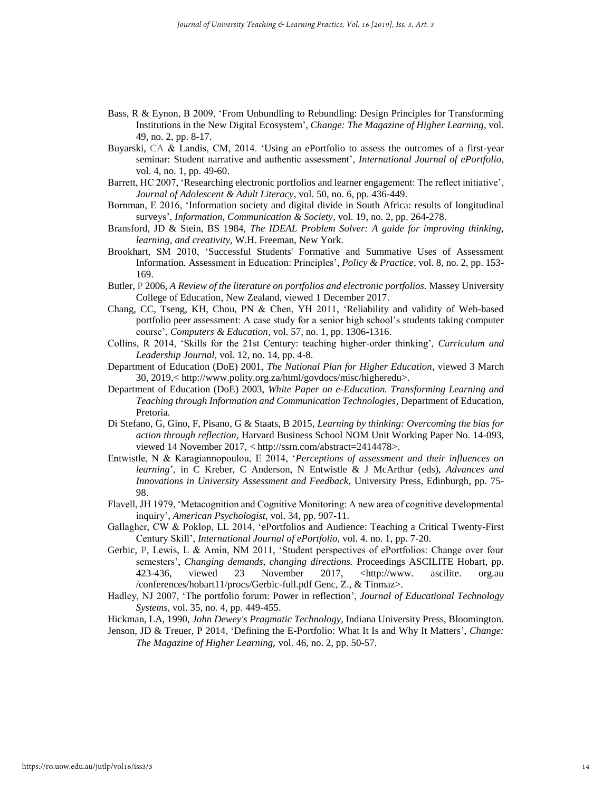- [Bass,](http://www.tandfonline.com/author/Bass%2C+Randy) R & [Eynon,](http://www.tandfonline.com/author/Eynon%2C+Bret) B 2009, 'From Unbundling to Rebundling: Design Principles for Transforming Institutions in the New Digital Ecosystem', *Change: The Magazine of Higher Learning,* vol. 49, no. 2, pp. 8-17.
- Buyarski, CA & Landis, CM, 2014. 'Using an ePortfolio to assess the outcomes of a first-year seminar: Student narrative and authentic assessment', *International Journal of ePortfolio,* vol. 4, no. 1, pp. 49-60.
- Barrett, HC 2007, 'Researching electronic portfolios and learner engagement: The reflect initiative', *Journal of Adolescent & Adult Literacy*, vol. 50, no. 6, pp. 436-449.
- Bornman, E 2016, 'Information society and digital divide in South Africa: results of longitudinal surveys', *Information, Communication & Society,* vol. 19, no. 2, pp. 264-278.
- Bransford, JD & Stein, BS 1984, *The IDEAL Problem Solver: A guide for improving thinking, learning, and creativity,* W.H. Freeman, New York.
- Brookhart, SM 2010, 'Successful Students' Formative and Summative Uses of Assessment Information. Assessment in Education: Principles', *Policy & Practice,* vol. 8, no. 2, pp. 153- 169.
- Butler, P 2006, *A Review of the literature on portfolios and electronic portfolios.* Massey University College of Education, New Zealand, viewed 1 December 2017.
- Chang, CC, Tseng, KH, Chou, PN & Chen, YH 2011, 'Reliability and validity of Web-based portfolio peer assessment: A case study for a senior high school's students taking computer course', *Computers & Education,* vol. 57, no. 1, pp. 1306-1316.
- Collins, R 2014, 'Skills for the 21st Century: teaching higher-order thinking', *Curriculum and Leadership Journal,* vol. 12, no. 14, pp. 4-8.
- Department of Education (DoE) 2001, *The National Plan for Higher Education*, viewed 3 March 30, 2019,[< http://www.polity.org.za/html/govdocs/misc/higheredu>](http://www.polity.org.za/html/govdocs/misc/higheredu).
- Department of Education (DoE) 2003, *White Paper on e-Education. Transforming Learning and Teaching through Information and Communication Technologies,* Department of Education, Pretoria.
- Di Stefano, G, Gino, F, Pisano, G & Staats, B 2015, *Learning by thinking: Overcoming the bias for action through reflection,* Harvard Business School NOM Unit Working Paper No. 14-093, viewed 14 November 2017, < [http://ssrn.com/abstract=2414478>](http://ssrn.com/abstract=2414478).
- Entwistle, N & Karagiannopoulou, E 2014, '*Perceptions of assessment and their influences on learning*', in C Kreber, C Anderson, N Entwistle & J McArthur (eds), *Advances and Innovations in University Assessment and Feedback,* University Press, Edinburgh, pp. 75- 98.
- Flavell, JH 1979, 'Metacognition and Cognitive Monitoring: A new area of cognitive developmental inquiry', *American Psychologist,* vol. 34, pp. 907-11.
- Gallagher, CW & Poklop, LL 2014, 'ePortfolios and Audience: Teaching a Critical Twenty-First Century Skill', *International Journal of ePortfolio,* vol. 4. no. 1, pp. 7-20.
- Gerbic, P, Lewis, L & Amin, NM 2011, 'Student perspectives of ePortfolios: Change over four semesters', *Changing demands, changing directions.* Proceedings ASCILITE Hobart, pp. 423-436, viewed 23 November 2017, [<http://www.](http://www/) ascilite. org.au /conferences/hobart11/procs/Gerbic-full.pdf Genc, Z., & Tinmaz>.
- Hadley, NJ 2007, 'The portfolio forum: Power in reflection', *Journal of Educational Technology Systems*, vol. 35, no. 4, pp. 449-455.
- Hickman, LA, 1990, *John Dewey's Pragmatic Technology*, Indiana University Press, Bloomington.
- Jenson, JD & Treuer, P 2014, ['Defining the E-Portfolio: What It Is and Why It Matters'](http://www.tandfonline.com/doi/full/10.1080/00091383.2014.897192), *[Change:](http://www.tandfonline.com/toc/vchn20/46/2)  [The Magazine of Higher Learning](http://www.tandfonline.com/toc/vchn20/46/2),* vol. 46, no. 2, pp. 50-57.